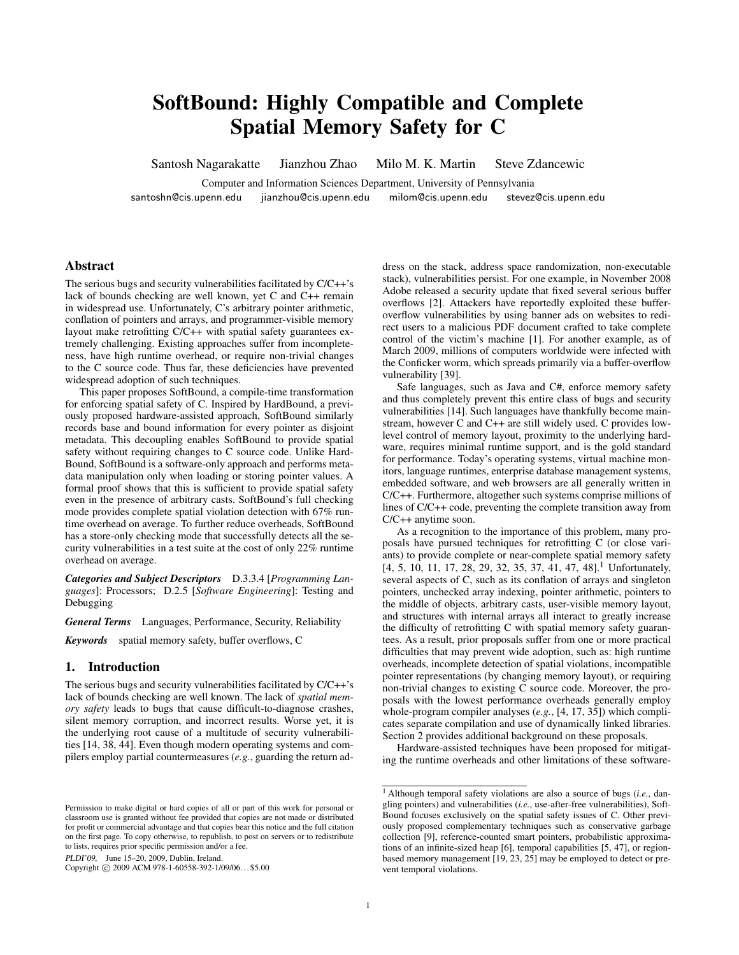# SoftBound: Highly Compatible and Complete Spatial Memory Safety for C

Santosh Nagarakatte Jianzhou Zhao Milo M. K. Martin Steve Zdancewic

Computer and Information Sciences Department, University of Pennsylvania

santoshn@cis.upenn.edu jianzhou@cis.upenn.edu milom@cis.upenn.edu stevez@cis.upenn.edu

# Abstract

The serious bugs and security vulnerabilities facilitated by C/C++'s lack of bounds checking are well known, yet C and C++ remain in widespread use. Unfortunately, C's arbitrary pointer arithmetic, conflation of pointers and arrays, and programmer-visible memory layout make retrofitting C/C++ with spatial safety guarantees extremely challenging. Existing approaches suffer from incompleteness, have high runtime overhead, or require non-trivial changes to the C source code. Thus far, these deficiencies have prevented widespread adoption of such techniques.

This paper proposes SoftBound, a compile-time transformation for enforcing spatial safety of C. Inspired by HardBound, a previously proposed hardware-assisted approach, SoftBound similarly records base and bound information for every pointer as disjoint metadata. This decoupling enables SoftBound to provide spatial safety without requiring changes to C source code. Unlike Hard-Bound, SoftBound is a software-only approach and performs metadata manipulation only when loading or storing pointer values. A formal proof shows that this is sufficient to provide spatial safety even in the presence of arbitrary casts. SoftBound's full checking mode provides complete spatial violation detection with 67% runtime overhead on average. To further reduce overheads, SoftBound has a store-only checking mode that successfully detects all the security vulnerabilities in a test suite at the cost of only 22% runtime overhead on average.

*Categories and Subject Descriptors* D.3.3.4 [*Programming Languages*]: Processors; D.2.5 [*Software Engineering*]: Testing and Debugging

*General Terms* Languages, Performance, Security, Reliability

*Keywords* spatial memory safety, buffer overflows, C

# 1. Introduction

The serious bugs and security vulnerabilities facilitated by C/C++'s lack of bounds checking are well known. The lack of *spatial memory safety* leads to bugs that cause difficult-to-diagnose crashes, silent memory corruption, and incorrect results. Worse yet, it is the underlying root cause of a multitude of security vulnerabilities [14, 38, 44]. Even though modern operating systems and compilers employ partial countermeasures (*e.g.*, guarding the return ad-

PLDI'09, June 15–20, 2009, Dublin, Ireland.

Copyright © 2009 ACM 978-1-60558-392-1/09/06... \$5.00

dress on the stack, address space randomization, non-executable stack), vulnerabilities persist. For one example, in November 2008 Adobe released a security update that fixed several serious buffer overflows [2]. Attackers have reportedly exploited these bufferoverflow vulnerabilities by using banner ads on websites to redirect users to a malicious PDF document crafted to take complete control of the victim's machine [1]. For another example, as of March 2009, millions of computers worldwide were infected with the Conficker worm, which spreads primarily via a buffer-overflow vulnerability [39].

Safe languages, such as Java and C#, enforce memory safety and thus completely prevent this entire class of bugs and security vulnerabilities [14]. Such languages have thankfully become mainstream, however C and C++ are still widely used. C provides lowlevel control of memory layout, proximity to the underlying hardware, requires minimal runtime support, and is the gold standard for performance. Today's operating systems, virtual machine monitors, language runtimes, enterprise database management systems, embedded software, and web browsers are all generally written in C/C++. Furthermore, altogether such systems comprise millions of lines of C/C++ code, preventing the complete transition away from C/C++ anytime soon.

As a recognition to the importance of this problem, many proposals have pursued techniques for retrofitting C (or close variants) to provide complete or near-complete spatial memory safety  $[4, 5, 10, 11, 17, 28, 29, 32, 35, 37, 41, 47, 48]$ .<sup>1</sup> Unfortunately, several aspects of C, such as its conflation of arrays and singleton pointers, unchecked array indexing, pointer arithmetic, pointers to the middle of objects, arbitrary casts, user-visible memory layout, and structures with internal arrays all interact to greatly increase the difficulty of retrofitting C with spatial memory safety guarantees. As a result, prior proposals suffer from one or more practical difficulties that may prevent wide adoption, such as: high runtime overheads, incomplete detection of spatial violations, incompatible pointer representations (by changing memory layout), or requiring non-trivial changes to existing C source code. Moreover, the proposals with the lowest performance overheads generally employ whole-program compiler analyses (*e.g.*, [4, 17, 35]) which complicates separate compilation and use of dynamically linked libraries. Section 2 provides additional background on these proposals.

Hardware-assisted techniques have been proposed for mitigating the runtime overheads and other limitations of these software-

Permission to make digital or hard copies of all or part of this work for personal or classroom use is granted without fee provided that copies are not made or distributed for profit or commercial advantage and that copies bear this notice and the full citation on the first page. To copy otherwise, to republish, to post on servers or to redistribute to lists, requires prior specific permission and/or a fee.

<sup>1</sup> Although temporal safety violations are also a source of bugs (*i.e.*, dangling pointers) and vulnerabilities (*i.e.*, use-after-free vulnerabilities), Soft-Bound focuses exclusively on the spatial safety issues of C. Other previously proposed complementary techniques such as conservative garbage collection [9], reference-counted smart pointers, probabilistic approximations of an infinite-sized heap [6], temporal capabilities [5, 47], or regionbased memory management [19, 23, 25] may be employed to detect or prevent temporal violations.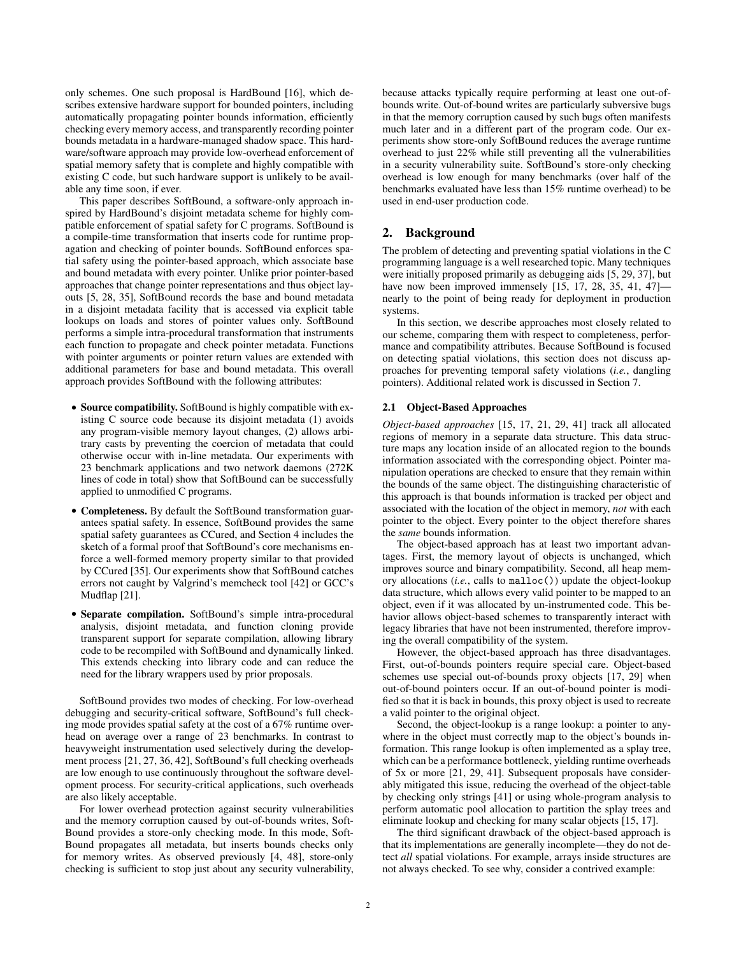only schemes. One such proposal is HardBound [16], which describes extensive hardware support for bounded pointers, including automatically propagating pointer bounds information, efficiently checking every memory access, and transparently recording pointer bounds metadata in a hardware-managed shadow space. This hardware/software approach may provide low-overhead enforcement of spatial memory safety that is complete and highly compatible with existing C code, but such hardware support is unlikely to be available any time soon, if ever.

This paper describes SoftBound, a software-only approach inspired by HardBound's disjoint metadata scheme for highly compatible enforcement of spatial safety for C programs. SoftBound is a compile-time transformation that inserts code for runtime propagation and checking of pointer bounds. SoftBound enforces spatial safety using the pointer-based approach, which associate base and bound metadata with every pointer. Unlike prior pointer-based approaches that change pointer representations and thus object layouts [5, 28, 35], SoftBound records the base and bound metadata in a disjoint metadata facility that is accessed via explicit table lookups on loads and stores of pointer values only. SoftBound performs a simple intra-procedural transformation that instruments each function to propagate and check pointer metadata. Functions with pointer arguments or pointer return values are extended with additional parameters for base and bound metadata. This overall approach provides SoftBound with the following attributes:

- Source compatibility. SoftBound is highly compatible with existing C source code because its disjoint metadata (1) avoids any program-visible memory layout changes, (2) allows arbitrary casts by preventing the coercion of metadata that could otherwise occur with in-line metadata. Our experiments with 23 benchmark applications and two network daemons (272K lines of code in total) show that SoftBound can be successfully applied to unmodified C programs.
- Completeness. By default the SoftBound transformation guarantees spatial safety. In essence, SoftBound provides the same spatial safety guarantees as CCured, and Section 4 includes the sketch of a formal proof that SoftBound's core mechanisms enforce a well-formed memory property similar to that provided by CCured [35]. Our experiments show that SoftBound catches errors not caught by Valgrind's memcheck tool [42] or GCC's Mudflap [21].
- Separate compilation. SoftBound's simple intra-procedural analysis, disjoint metadata, and function cloning provide transparent support for separate compilation, allowing library code to be recompiled with SoftBound and dynamically linked. This extends checking into library code and can reduce the need for the library wrappers used by prior proposals.

SoftBound provides two modes of checking. For low-overhead debugging and security-critical software, SoftBound's full checking mode provides spatial safety at the cost of a 67% runtime overhead on average over a range of 23 benchmarks. In contrast to heavyweight instrumentation used selectively during the development process [21, 27, 36, 42], SoftBound's full checking overheads are low enough to use continuously throughout the software development process. For security-critical applications, such overheads are also likely acceptable.

For lower overhead protection against security vulnerabilities and the memory corruption caused by out-of-bounds writes, Soft-Bound provides a store-only checking mode. In this mode, Soft-Bound propagates all metadata, but inserts bounds checks only for memory writes. As observed previously [4, 48], store-only checking is sufficient to stop just about any security vulnerability, because attacks typically require performing at least one out-ofbounds write. Out-of-bound writes are particularly subversive bugs in that the memory corruption caused by such bugs often manifests much later and in a different part of the program code. Our experiments show store-only SoftBound reduces the average runtime overhead to just 22% while still preventing all the vulnerabilities in a security vulnerability suite. SoftBound's store-only checking overhead is low enough for many benchmarks (over half of the benchmarks evaluated have less than 15% runtime overhead) to be used in end-user production code.

# 2. Background

The problem of detecting and preventing spatial violations in the C programming language is a well researched topic. Many techniques were initially proposed primarily as debugging aids [5, 29, 37], but have now been improved immensely [15, 17, 28, 35, 41, 47] nearly to the point of being ready for deployment in production systems.

In this section, we describe approaches most closely related to our scheme, comparing them with respect to completeness, performance and compatibility attributes. Because SoftBound is focused on detecting spatial violations, this section does not discuss approaches for preventing temporal safety violations (*i.e.*, dangling pointers). Additional related work is discussed in Section 7.

#### 2.1 Object-Based Approaches

*Object-based approaches* [15, 17, 21, 29, 41] track all allocated regions of memory in a separate data structure. This data structure maps any location inside of an allocated region to the bounds information associated with the corresponding object. Pointer manipulation operations are checked to ensure that they remain within the bounds of the same object. The distinguishing characteristic of this approach is that bounds information is tracked per object and associated with the location of the object in memory, *not* with each pointer to the object. Every pointer to the object therefore shares the *same* bounds information.

The object-based approach has at least two important advantages. First, the memory layout of objects is unchanged, which improves source and binary compatibility. Second, all heap memory allocations (*i.e.*, calls to malloc()) update the object-lookup data structure, which allows every valid pointer to be mapped to an object, even if it was allocated by un-instrumented code. This behavior allows object-based schemes to transparently interact with legacy libraries that have not been instrumented, therefore improving the overall compatibility of the system.

However, the object-based approach has three disadvantages. First, out-of-bounds pointers require special care. Object-based schemes use special out-of-bounds proxy objects [17, 29] when out-of-bound pointers occur. If an out-of-bound pointer is modified so that it is back in bounds, this proxy object is used to recreate a valid pointer to the original object.

Second, the object-lookup is a range lookup: a pointer to anywhere in the object must correctly map to the object's bounds information. This range lookup is often implemented as a splay tree, which can be a performance bottleneck, yielding runtime overheads of 5x or more [21, 29, 41]. Subsequent proposals have considerably mitigated this issue, reducing the overhead of the object-table by checking only strings [41] or using whole-program analysis to perform automatic pool allocation to partition the splay trees and eliminate lookup and checking for many scalar objects [15, 17].

The third significant drawback of the object-based approach is that its implementations are generally incomplete—they do not detect *all* spatial violations. For example, arrays inside structures are not always checked. To see why, consider a contrived example: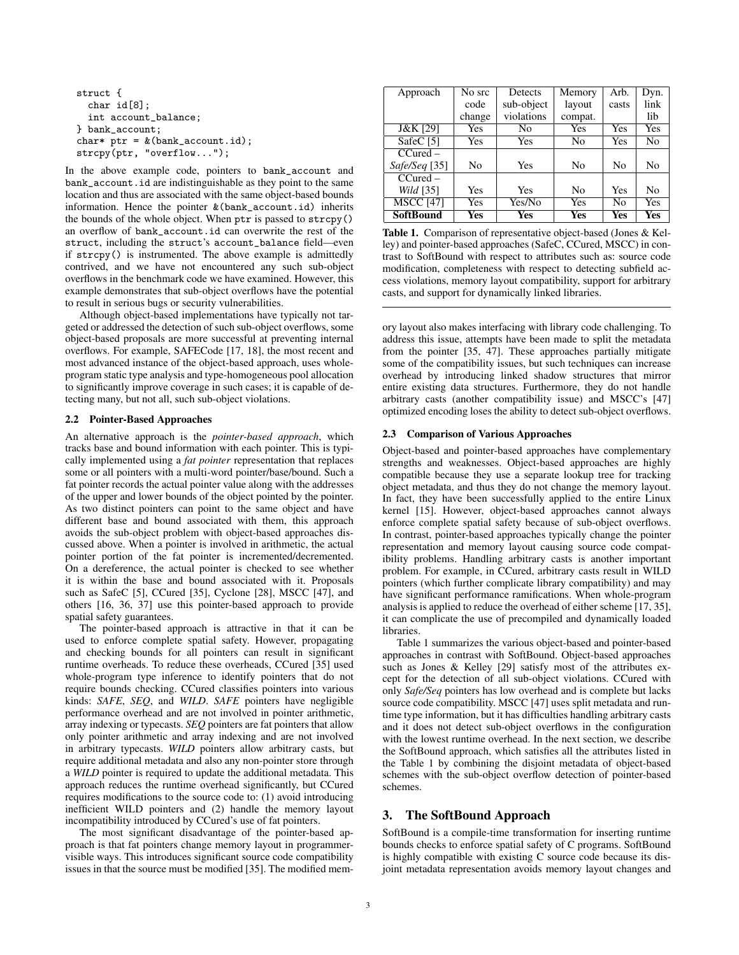```
struct {
  char id[8];
  int account_balance;
} bank_account;
char* ptr = &(bank_account.id);
strcpy(ptr, "overflow...");
```
In the above example code, pointers to bank\_account and bank\_account.id are indistinguishable as they point to the same location and thus are associated with the same object-based bounds information. Hence the pointer &(bank\_account.id) inherits the bounds of the whole object. When ptr is passed to strcpy() an overflow of bank\_account.id can overwrite the rest of the struct, including the struct's account\_balance field—even if strcpy() is instrumented. The above example is admittedly contrived, and we have not encountered any such sub-object overflows in the benchmark code we have examined. However, this example demonstrates that sub-object overflows have the potential to result in serious bugs or security vulnerabilities.

Although object-based implementations have typically not targeted or addressed the detection of such sub-object overflows, some object-based proposals are more successful at preventing internal overflows. For example, SAFECode [17, 18], the most recent and most advanced instance of the object-based approach, uses wholeprogram static type analysis and type-homogeneous pool allocation to significantly improve coverage in such cases; it is capable of detecting many, but not all, such sub-object violations.

## 2.2 Pointer-Based Approaches

An alternative approach is the *pointer-based approach*, which tracks base and bound information with each pointer. This is typically implemented using a *fat pointer* representation that replaces some or all pointers with a multi-word pointer/base/bound. Such a fat pointer records the actual pointer value along with the addresses of the upper and lower bounds of the object pointed by the pointer. As two distinct pointers can point to the same object and have different base and bound associated with them, this approach avoids the sub-object problem with object-based approaches discussed above. When a pointer is involved in arithmetic, the actual pointer portion of the fat pointer is incremented/decremented. On a dereference, the actual pointer is checked to see whether it is within the base and bound associated with it. Proposals such as SafeC [5], CCured [35], Cyclone [28], MSCC [47], and others [16, 36, 37] use this pointer-based approach to provide spatial safety guarantees.

The pointer-based approach is attractive in that it can be used to enforce complete spatial safety. However, propagating and checking bounds for all pointers can result in significant runtime overheads. To reduce these overheads, CCured [35] used whole-program type inference to identify pointers that do not require bounds checking. CCured classifies pointers into various kinds: *SAFE*, *SEQ*, and *WILD*. *SAFE* pointers have negligible performance overhead and are not involved in pointer arithmetic, array indexing or typecasts. *SEQ* pointers are fat pointers that allow only pointer arithmetic and array indexing and are not involved in arbitrary typecasts. *WILD* pointers allow arbitrary casts, but require additional metadata and also any non-pointer store through a *WILD* pointer is required to update the additional metadata. This approach reduces the runtime overhead significantly, but CCured requires modifications to the source code to: (1) avoid introducing inefficient WILD pointers and (2) handle the memory layout incompatibility introduced by CCured's use of fat pointers.

The most significant disadvantage of the pointer-based approach is that fat pointers change memory layout in programmervisible ways. This introduces significant source code compatibility issues in that the source must be modified [35]. The modified mem-

| Approach             | No src | Detects    | Memory         | Arb.  | Dyn.       |
|----------------------|--------|------------|----------------|-------|------------|
|                      | code   | sub-object | layout         | casts | link       |
|                      | change | violations | compat.        |       | lib        |
| J&K [29]             | Yes    | No         | Yes            | Yes   | Yes        |
| SafeC <sup>[5]</sup> | Yes    | Yes        | No             | Yes   | No         |
| $C$ Cured $-$        |        |            |                |       |            |
| Safe/Seq [35]        | No     | Yes        | N <sub>0</sub> | No    | No         |
| $CCured -$           |        |            |                |       |            |
| Wild [35]            | Yes    | Yes        | N <sub>0</sub> | Yes   | No         |
| <b>MSCC [47]</b>     | Yes    | Yes/No     | Yes            | No    | Yes        |
| <b>SoftBound</b>     | Yes    | <b>Yes</b> | Yes            | Yes   | <b>Yes</b> |

Table 1. Comparison of representative object-based (Jones & Kelley) and pointer-based approaches (SafeC, CCured, MSCC) in contrast to SoftBound with respect to attributes such as: source code modification, completeness with respect to detecting subfield access violations, memory layout compatibility, support for arbitrary casts, and support for dynamically linked libraries.

ory layout also makes interfacing with library code challenging. To address this issue, attempts have been made to split the metadata from the pointer [35, 47]. These approaches partially mitigate some of the compatibility issues, but such techniques can increase overhead by introducing linked shadow structures that mirror entire existing data structures. Furthermore, they do not handle arbitrary casts (another compatibility issue) and MSCC's [47] optimized encoding loses the ability to detect sub-object overflows.

#### 2.3 Comparison of Various Approaches

Object-based and pointer-based approaches have complementary strengths and weaknesses. Object-based approaches are highly compatible because they use a separate lookup tree for tracking object metadata, and thus they do not change the memory layout. In fact, they have been successfully applied to the entire Linux kernel [15]. However, object-based approaches cannot always enforce complete spatial safety because of sub-object overflows. In contrast, pointer-based approaches typically change the pointer representation and memory layout causing source code compatibility problems. Handling arbitrary casts is another important problem. For example, in CCured, arbitrary casts result in WILD pointers (which further complicate library compatibility) and may have significant performance ramifications. When whole-program analysis is applied to reduce the overhead of either scheme [17, 35], it can complicate the use of precompiled and dynamically loaded libraries.

Table 1 summarizes the various object-based and pointer-based approaches in contrast with SoftBound. Object-based approaches such as Jones & Kelley [29] satisfy most of the attributes except for the detection of all sub-object violations. CCured with only *Safe/Seq* pointers has low overhead and is complete but lacks source code compatibility. MSCC [47] uses split metadata and runtime type information, but it has difficulties handling arbitrary casts and it does not detect sub-object overflows in the configuration with the lowest runtime overhead. In the next section, we describe the SoftBound approach, which satisfies all the attributes listed in the Table 1 by combining the disjoint metadata of object-based schemes with the sub-object overflow detection of pointer-based schemes.

# 3. The SoftBound Approach

SoftBound is a compile-time transformation for inserting runtime bounds checks to enforce spatial safety of C programs. SoftBound is highly compatible with existing C source code because its disjoint metadata representation avoids memory layout changes and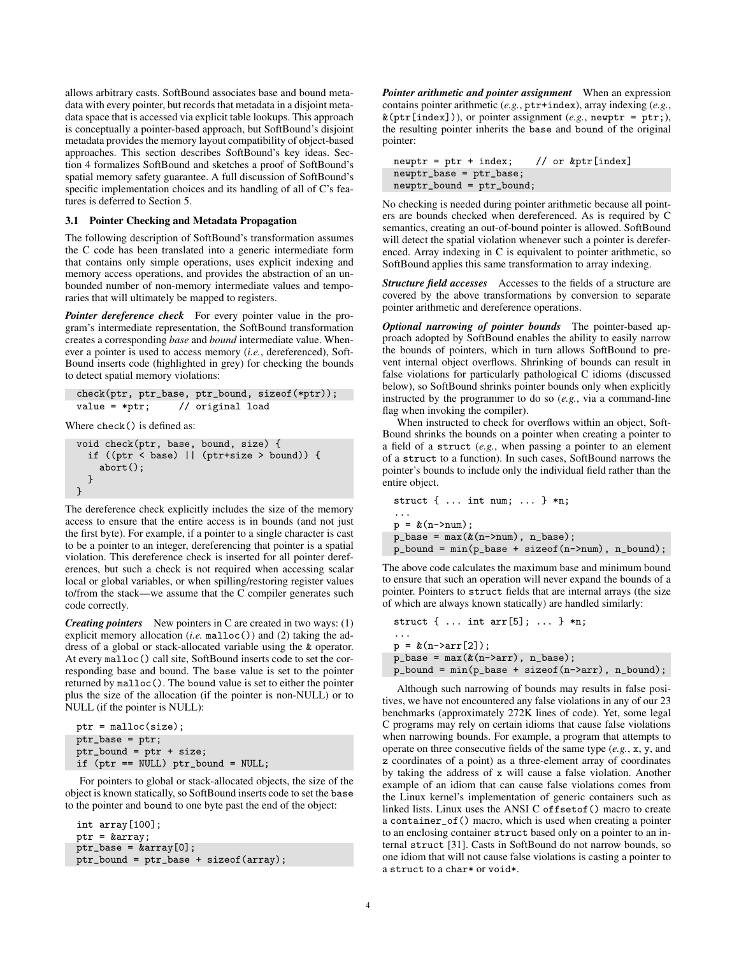allows arbitrary casts. SoftBound associates base and bound metadata with every pointer, but records that metadata in a disjoint metadata space that is accessed via explicit table lookups. This approach is conceptually a pointer-based approach, but SoftBound's disjoint metadata provides the memory layout compatibility of object-based approaches. This section describes SoftBound's key ideas. Section 4 formalizes SoftBound and sketches a proof of SoftBound's spatial memory safety guarantee. A full discussion of SoftBound's specific implementation choices and its handling of all of C's features is deferred to Section 5.

## 3.1 Pointer Checking and Metadata Propagation

The following description of SoftBound's transformation assumes the C code has been translated into a generic intermediate form that contains only simple operations, uses explicit indexing and memory access operations, and provides the abstraction of an unbounded number of non-memory intermediate values and temporaries that will ultimately be mapped to registers.

*Pointer dereference check* For every pointer value in the program's intermediate representation, the SoftBound transformation creates a corresponding *base* and *bound* intermediate value. Whenever a pointer is used to access memory (*i.e.*, dereferenced), Soft-Bound inserts code (highlighted in grey) for checking the bounds to detect spatial memory violations:

```
check(ptr, ptr_base, ptr_bound, sizeof(*ptr));
value = *ptr; // original load
```
Where check() is defined as:

```
void check(ptr, base, bound, size) {
  if ((ptr < base) || (ptr+size > bound)) {
    abort();
  }
}
```
The dereference check explicitly includes the size of the memory access to ensure that the entire access is in bounds (and not just the first byte). For example, if a pointer to a single character is cast to be a pointer to an integer, dereferencing that pointer is a spatial violation. This dereference check is inserted for all pointer dereferences, but such a check is not required when accessing scalar local or global variables, or when spilling/restoring register values to/from the stack—we assume that the C compiler generates such code correctly.

*Creating pointers* New pointers in C are created in two ways: (1) explicit memory allocation (*i.e.* malloc()) and (2) taking the address of a global or stack-allocated variable using the & operator. At every malloc() call site, SoftBound inserts code to set the corresponding base and bound. The base value is set to the pointer returned by malloc(). The bound value is set to either the pointer plus the size of the allocation (if the pointer is non-NULL) or to NULL (if the pointer is NULL):

```
ptr = malloc(size);
ptr_base = ptr;
ptr_bound = ptr + size;
if (ptr == NULL) ptr_bound = NULL;
```
For pointers to global or stack-allocated objects, the size of the object is known statically, so SoftBound inserts code to set the base to the pointer and bound to one byte past the end of the object:

```
int array[100];
ptr = &array;
ptr_base = &array[0];
ptr_bound = ptr_base + sizeof(array);
```
*Pointer arithmetic and pointer assignment* When an expression contains pointer arithmetic (*e.g.*, ptr+index), array indexing (*e.g.*, &(ptr[index])), or pointer assignment (*e.g.*, newptr = ptr;), the resulting pointer inherits the base and bound of the original pointer:

```
newptr = ptr + index; // or kptr[index]newptr_base = ptr_base;
newptr_bound = ptr_bound;
```
No checking is needed during pointer arithmetic because all pointers are bounds checked when dereferenced. As is required by C semantics, creating an out-of-bound pointer is allowed. SoftBound will detect the spatial violation whenever such a pointer is dereferenced. Array indexing in C is equivalent to pointer arithmetic, so SoftBound applies this same transformation to array indexing.

*Structure field accesses* Accesses to the fields of a structure are covered by the above transformations by conversion to separate pointer arithmetic and dereference operations.

*Optional narrowing of pointer bounds* The pointer-based approach adopted by SoftBound enables the ability to easily narrow the bounds of pointers, which in turn allows SoftBound to prevent internal object overflows. Shrinking of bounds can result in false violations for particularly pathological C idioms (discussed below), so SoftBound shrinks pointer bounds only when explicitly instructed by the programmer to do so (*e.g.*, via a command-line flag when invoking the compiler).

When instructed to check for overflows within an object, Soft-Bound shrinks the bounds on a pointer when creating a pointer to a field of a struct (*e.g.*, when passing a pointer to an element of a struct to a function). In such cases, SoftBound narrows the pointer's bounds to include only the individual field rather than the entire object.

```
struct { ... int num; ... } *n;
...
p = \&(n->num);p\_base = max(k(n->num), n\_base);p_bound = min(p_b)ase + sizeof(n->num), n<sub>_</sub>bound);
```
The above code calculates the maximum base and minimum bound to ensure that such an operation will never expand the bounds of a pointer. Pointers to struct fields that are internal arrays (the size of which are always known statically) are handled similarly:

```
struct { ... int arr[5]; ... } *n;
...
p = \&(n \rightarrow \ar{2});
p\_base = max(k(n->arr), n\_base);p_{bound} = min(p_{base} + sizeof(n_{-}), n_{bound});
```
Although such narrowing of bounds may results in false positives, we have not encountered any false violations in any of our 23 benchmarks (approximately 272K lines of code). Yet, some legal C programs may rely on certain idioms that cause false violations when narrowing bounds. For example, a program that attempts to operate on three consecutive fields of the same type (*e.g.*, x, y, and z coordinates of a point) as a three-element array of coordinates by taking the address of x will cause a false violation. Another example of an idiom that can cause false violations comes from the Linux kernel's implementation of generic containers such as linked lists. Linux uses the ANSI C offsetof() macro to create a container\_of() macro, which is used when creating a pointer to an enclosing container struct based only on a pointer to an internal struct [31]. Casts in SoftBound do not narrow bounds, so one idiom that will not cause false violations is casting a pointer to a struct to a char\* or void\*.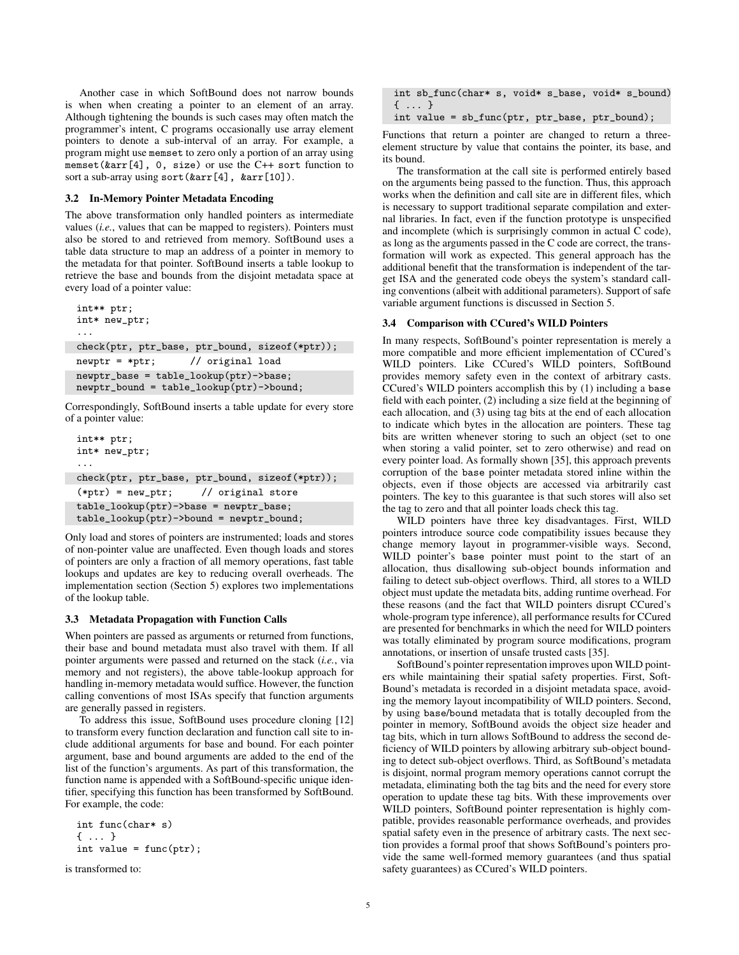Another case in which SoftBound does not narrow bounds is when when creating a pointer to an element of an array. Although tightening the bounds is such cases may often match the programmer's intent, C programs occasionally use array element pointers to denote a sub-interval of an array. For example, a program might use memset to zero only a portion of an array using memset(&arr[4], 0, size) or use the C++ sort function to sort a sub-array using sort ( $&arr[4]$ ,  $&arr[10]$ ).

# 3.2 In-Memory Pointer Metadata Encoding

The above transformation only handled pointers as intermediate values (*i.e.*, values that can be mapped to registers). Pointers must also be stored to and retrieved from memory. SoftBound uses a table data structure to map an address of a pointer in memory to the metadata for that pointer. SoftBound inserts a table lookup to retrieve the base and bounds from the disjoint metadata space at every load of a pointer value:

```
int** ptr;
int* new_ptr;
...
check(ptr, ptr_base, ptr_bound, sizeof(*ptr));
newptr = *ptr; // original load
newptr_base = table_lookup(ptr)->base;
newptr_bound = table_lookup(ptr)->bound;
```
Correspondingly, SoftBound inserts a table update for every store of a pointer value:

```
int** ptr;
int* new_ptr;
...
check(ptr, ptr_base, ptr_bound, sizeof(*ptr));
(*ptr) = new_ptr; // original store
table_lookup(ptr)->base = newptr_base;
table_lookup(ptr)->bound = newptr_bound;
```
Only load and stores of pointers are instrumented; loads and stores of non-pointer value are unaffected. Even though loads and stores of pointers are only a fraction of all memory operations, fast table lookups and updates are key to reducing overall overheads. The implementation section (Section 5) explores two implementations of the lookup table.

#### 3.3 Metadata Propagation with Function Calls

When pointers are passed as arguments or returned from functions, their base and bound metadata must also travel with them. If all pointer arguments were passed and returned on the stack (*i.e.*, via memory and not registers), the above table-lookup approach for handling in-memory metadata would suffice. However, the function calling conventions of most ISAs specify that function arguments are generally passed in registers.

To address this issue, SoftBound uses procedure cloning [12] to transform every function declaration and function call site to include additional arguments for base and bound. For each pointer argument, base and bound arguments are added to the end of the list of the function's arguments. As part of this transformation, the function name is appended with a SoftBound-specific unique identifier, specifying this function has been transformed by SoftBound. For example, the code:

```
int func(char* s)
{ ... }
int value = func(ptr);
```
is transformed to:

int sb\_func(char\* s, void\* s\_base, void\* s\_bound) { ... }

int value = sb\_func(ptr, ptr\_base, ptr\_bound);

Functions that return a pointer are changed to return a threeelement structure by value that contains the pointer, its base, and its bound.

The transformation at the call site is performed entirely based on the arguments being passed to the function. Thus, this approach works when the definition and call site are in different files, which is necessary to support traditional separate compilation and external libraries. In fact, even if the function prototype is unspecified and incomplete (which is surprisingly common in actual C code), as long as the arguments passed in the C code are correct, the transformation will work as expected. This general approach has the additional benefit that the transformation is independent of the target ISA and the generated code obeys the system's standard calling conventions (albeit with additional parameters). Support of safe variable argument functions is discussed in Section 5.

#### 3.4 Comparison with CCured's WILD Pointers

In many respects, SoftBound's pointer representation is merely a more compatible and more efficient implementation of CCured's WILD pointers. Like CCured's WILD pointers, SoftBound provides memory safety even in the context of arbitrary casts. CCured's WILD pointers accomplish this by (1) including a base field with each pointer, (2) including a size field at the beginning of each allocation, and (3) using tag bits at the end of each allocation to indicate which bytes in the allocation are pointers. These tag bits are written whenever storing to such an object (set to one when storing a valid pointer, set to zero otherwise) and read on every pointer load. As formally shown [35], this approach prevents corruption of the base pointer metadata stored inline within the objects, even if those objects are accessed via arbitrarily cast pointers. The key to this guarantee is that such stores will also set the tag to zero and that all pointer loads check this tag.

WILD pointers have three key disadvantages. First, WILD pointers introduce source code compatibility issues because they change memory layout in programmer-visible ways. Second, WILD pointer's base pointer must point to the start of an allocation, thus disallowing sub-object bounds information and failing to detect sub-object overflows. Third, all stores to a WILD object must update the metadata bits, adding runtime overhead. For these reasons (and the fact that WILD pointers disrupt CCured's whole-program type inference), all performance results for CCured are presented for benchmarks in which the need for WILD pointers was totally eliminated by program source modifications, program annotations, or insertion of unsafe trusted casts [35].

SoftBound's pointer representation improves upon WILD pointers while maintaining their spatial safety properties. First, Soft-Bound's metadata is recorded in a disjoint metadata space, avoiding the memory layout incompatibility of WILD pointers. Second, by using base/bound metadata that is totally decoupled from the pointer in memory, SoftBound avoids the object size header and tag bits, which in turn allows SoftBound to address the second deficiency of WILD pointers by allowing arbitrary sub-object bounding to detect sub-object overflows. Third, as SoftBound's metadata is disjoint, normal program memory operations cannot corrupt the metadata, eliminating both the tag bits and the need for every store operation to update these tag bits. With these improvements over WILD pointers, SoftBound pointer representation is highly compatible, provides reasonable performance overheads, and provides spatial safety even in the presence of arbitrary casts. The next section provides a formal proof that shows SoftBound's pointers provide the same well-formed memory guarantees (and thus spatial safety guarantees) as CCured's WILD pointers.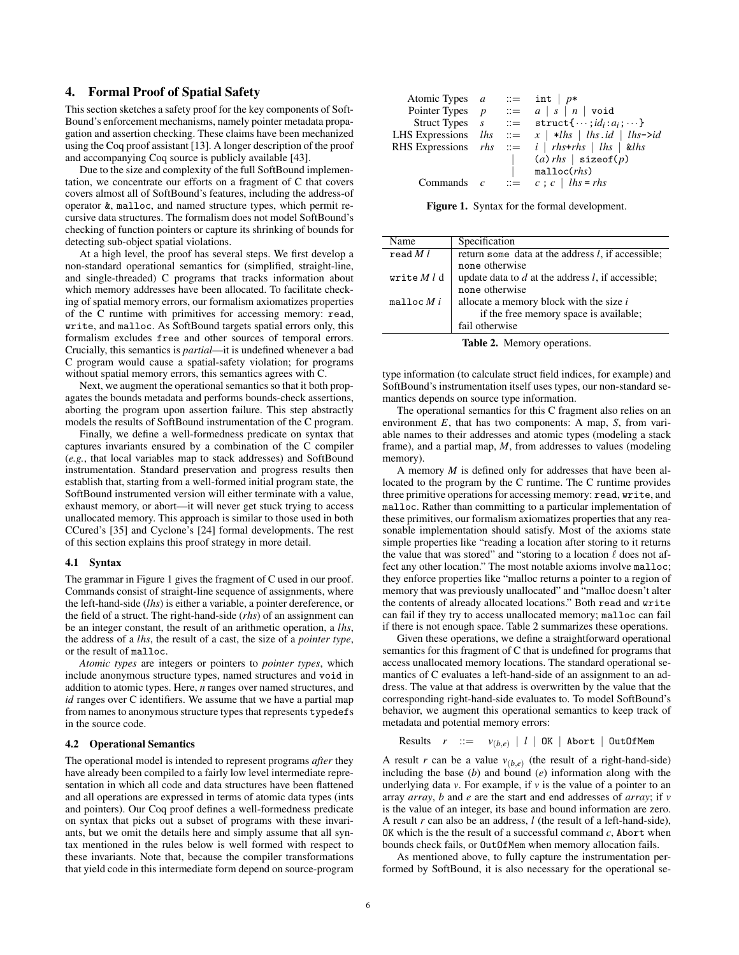# 4. Formal Proof of Spatial Safety

This section sketches a safety proof for the key components of Soft-Bound's enforcement mechanisms, namely pointer metadata propagation and assertion checking. These claims have been mechanized using the Coq proof assistant [13]. A longer description of the proof and accompanying Coq source is publicly available [43].

Due to the size and complexity of the full SoftBound implementation, we concentrate our efforts on a fragment of C that covers covers almost all of SoftBound's features, including the address-of operator &, malloc, and named structure types, which permit recursive data structures. The formalism does not model SoftBound's checking of function pointers or capture its shrinking of bounds for detecting sub-object spatial violations.

At a high level, the proof has several steps. We first develop a non-standard operational semantics for (simplified, straight-line, and single-threaded) C programs that tracks information about which memory addresses have been allocated. To facilitate checking of spatial memory errors, our formalism axiomatizes properties of the C runtime with primitives for accessing memory: read, write, and malloc. As SoftBound targets spatial errors only, this formalism excludes free and other sources of temporal errors. Crucially, this semantics is *partial*—it is undefined whenever a bad C program would cause a spatial-safety violation; for programs without spatial memory errors, this semantics agrees with C.

Next, we augment the operational semantics so that it both propagates the bounds metadata and performs bounds-check assertions, aborting the program upon assertion failure. This step abstractly models the results of SoftBound instrumentation of the C program.

Finally, we define a well-formedness predicate on syntax that captures invariants ensured by a combination of the C compiler (*e.g.*, that local variables map to stack addresses) and SoftBound instrumentation. Standard preservation and progress results then establish that, starting from a well-formed initial program state, the SoftBound instrumented version will either terminate with a value, exhaust memory, or abort—it will never get stuck trying to access unallocated memory. This approach is similar to those used in both CCured's [35] and Cyclone's [24] formal developments. The rest of this section explains this proof strategy in more detail.

#### 4.1 Syntax

The grammar in Figure 1 gives the fragment of C used in our proof. Commands consist of straight-line sequence of assignments, where the left-hand-side (*lhs*) is either a variable, a pointer dereference, or the field of a struct. The right-hand-side (*rhs*) of an assignment can be an integer constant, the result of an arithmetic operation, a *lhs*, the address of a *lhs*, the result of a cast, the size of a *pointer type*, or the result of malloc.

*Atomic types* are integers or pointers to *pointer types*, which include anonymous structure types, named structures and void in addition to atomic types. Here, *n* ranges over named structures, and *id* ranges over C identifiers. We assume that we have a partial map from names to anonymous structure types that represents typedefs in the source code.

## 4.2 Operational Semantics

The operational model is intended to represent programs *after* they have already been compiled to a fairly low level intermediate representation in which all code and data structures have been flattened and all operations are expressed in terms of atomic data types (ints and pointers). Our Coq proof defines a well-formedness predicate on syntax that picks out a subset of programs with these invariants, but we omit the details here and simply assume that all syntax mentioned in the rules below is well formed with respect to these invariants. Note that, because the compiler transformations that yield code in this intermediate form depend on source-program

| Atomic Types <i>a</i> | $\therefore =$ | int $ p*$                                                                        |
|-----------------------|----------------|----------------------------------------------------------------------------------|
|                       |                | Pointer Types $p ::= a   s   n   void$                                           |
| Struct Types $s$      |                | $ ::=$ struct $\{ \cdots ; id_i : a_i; \cdots \}$                                |
|                       |                | LHS Expressions $\ h\ _s := x \ \star h\ _s \ \ h\ _s \cdot id \ \ h\ _s \to id$ |
|                       |                | RHS Expressions $rhs$ ::= $i   rhs+rhs   lhs  $ &ths                             |
|                       |                | (a) rhs $\vert$ sizeof(p)                                                        |
|                       |                | malloc(rhs)                                                                      |
|                       |                | Commands $c ::= c$ ; $c   lhs = rhs$                                             |

Figure 1. Syntax for the formal development.

| Name          | Specification                                             |
|---------------|-----------------------------------------------------------|
| read M l      | return some data at the address <i>l</i> , if accessible; |
|               | none otherwise                                            |
| write $M l d$ | update data to $d$ at the address $l$ , if accessible;    |
|               | none otherwise                                            |
| malloc $M i$  | allocate a memory block with the size $i$                 |
|               | if the free memory space is available;                    |
|               | fail otherwise                                            |

Table 2. Memory operations.

type information (to calculate struct field indices, for example) and SoftBound's instrumentation itself uses types, our non-standard semantics depends on source type information.

The operational semantics for this C fragment also relies on an environment *E*, that has two components: A map, *S*, from variable names to their addresses and atomic types (modeling a stack frame), and a partial map, *M*, from addresses to values (modeling memory).

A memory *M* is defined only for addresses that have been allocated to the program by the C runtime. The C runtime provides three primitive operations for accessing memory: read, write, and malloc. Rather than committing to a particular implementation of these primitives, our formalism axiomatizes properties that any reasonable implementation should satisfy. Most of the axioms state simple properties like "reading a location after storing to it returns the value that was stored" and "storing to a location  $\ell$  does not affect any other location." The most notable axioms involve malloc; they enforce properties like "malloc returns a pointer to a region of memory that was previously unallocated" and "malloc doesn't alter the contents of already allocated locations." Both read and write can fail if they try to access unallocated memory; malloc can fail if there is not enough space. Table 2 summarizes these operations.

Given these operations, we define a straightforward operational semantics for this fragment of C that is undefined for programs that access unallocated memory locations. The standard operational semantics of C evaluates a left-hand-side of an assignment to an address. The value at that address is overwritten by the value that the corresponding right-hand-side evaluates to. To model SoftBound's behavior, we augment this operational semantics to keep track of metadata and potential memory errors:

Results 
$$
r ::= v_{(b,e)} | l | OK | Abort | OutOfMem
$$

A result *r* can be a value  $v_{(b,e)}$  (the result of a right-hand-side) including the base (*b*) and bound (*e*) information along with the underlying data *v*. For example, if *v* is the value of a pointer to an array *array*, *b* and *e* are the start and end addresses of *array*; if *v* is the value of an integer, its base and bound information are zero. A result *r* can also be an address, *l* (the result of a left-hand-side), OK which is the the result of a successful command *c*, Abort when bounds check fails, or OutOfMem when memory allocation fails.

As mentioned above, to fully capture the instrumentation performed by SoftBound, it is also necessary for the operational se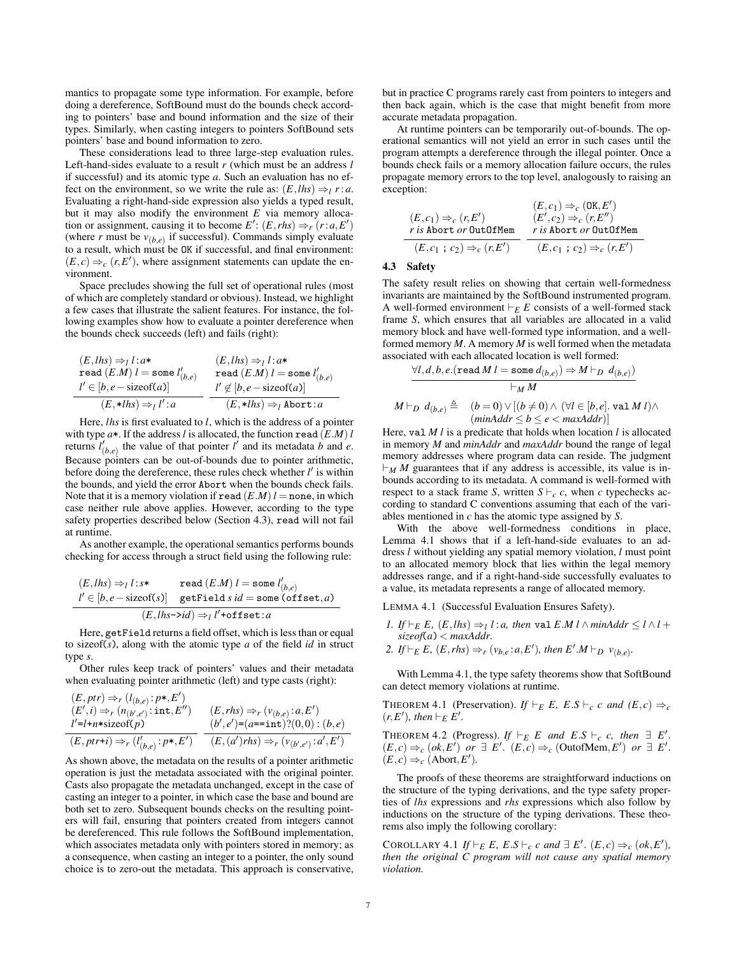mantics to propagate some type information. For example, before doing a dereference, SoftBound must do the bounds check according to pointers' base and bound information and the size of their types. Similarly, when casting integers to pointers SoftBound sets pointers' base and bound information to zero.

These considerations lead to three large-step evaluation rules. Left-hand-sides evaluate to a result *r* (which must be an address *l* if successful) and its atomic type *a*. Such an evaluation has no effect on the environment, so we write the rule as:  $(E, lhs) \Rightarrow_l r : a$ . Evaluating a right-hand-side expression also yields a typed result, but it may also modify the environment *E* via memory allocation or assignment, causing it to become  $E'$ :  $(E,rhs) \Rightarrow r (r : a, E')$ (where *r* must be  $v_{(b,e)}$  if successful). Commands simply evaluate to a result, which must be OK if successful, and final environment:  $(E,c) \Rightarrow_c (r, E')$ , where assignment statements can update the environment.

Space precludes showing the full set of operational rules (most of which are completely standard or obvious). Instead, we highlight a few cases that illustrate the salient features. For instance, the following examples show how to evaluate a pointer dereference when the bounds check succeeds (left) and fails (right):

$$
(E, lhs) \Rightarrow_l l : a*
$$
  
\nread  $(E.M) l =$  some  $l'_{(b,e)}$   
\n $l' \in [b, e -$  sizeof(a)]  
\n $(E,*lhs) \Rightarrow_l l':a$   
\n $l' \notin [b, e -$  sizeof(a)]  
\n $(E,*lhs) \Rightarrow_l l':a$   
\n $(E,*lhs) \Rightarrow_l l':a$   
\n $(E,*lhs) \Rightarrow_l h$  short: a

Here, *lhs* is first evaluated to *l*, which is the address of a pointer with type *a*\*. If the address *l* is allocated, the function read (*E*.*M*)*l* returns  $l'_{(b,e)}$  the value of that pointer  $l'$  and its metadata *b* and *e*. Because pointers can be out-of-bounds due to pointer arithmetic, before doing the dereference, these rules check whether *l'* is within the bounds, and yield the error Abort when the bounds check fails. Note that it is a memory violation if read  $(E.M)$   $l =$  none, in which case neither rule above applies. However, according to the type safety properties described below (Section 4.3), read will not fail at runtime.

As another example, the operational semantics performs bounds checking for access through a struct field using the following rule:

$$
\begin{array}{ll} & (E, lhs) \Rightarrow_l l:s* & \texttt{read } (E.M) \ l = \texttt{some } l'_{(b,e)} \\ & l' \in [b,e-\texttt{sizeof}(s)] & \texttt{getField } s \ id = \texttt{some } (\texttt{offset},a) \\ & (E, lhs \texttt{-} sid) \Rightarrow_l l' \texttt{offset}: a \end{array}
$$

Here, getField returns a field offset, which is less than or equal to sizeof(*s*), along with the atomic type *a* of the field *id* in struct type *s*.

Other rules keep track of pointers' values and their metadata when evaluating pointer arithmetic (left) and type casts (right):

$$
(E, ptr) \Rightarrow_r (l_{(b,e)}: p*, E')
$$
  
\n
$$
(E', i) \Rightarrow_r (n_{(b',e')}: \text{int}, E'')
$$
  
\n
$$
l' = l+n* \text{sizeof}(p)
$$
  
\n
$$
(E, rhs) \Rightarrow_r (v_{(b,e)}: a, E')
$$
  
\n
$$
(E', rhs) \Rightarrow_r (v_{(b,e)}: p*, E')
$$
  
\n
$$
(E, (a')rhs) \Rightarrow_r (v_{(b',e')}: a', E')
$$

As shown above, the metadata on the results of a pointer arithmetic operation is just the metadata associated with the original pointer. Casts also propagate the metadata unchanged, except in the case of casting an integer to a pointer, in which case the base and bound are both set to zero. Subsequent bounds checks on the resulting pointers will fail, ensuring that pointers created from integers cannot be dereferenced. This rule follows the SoftBound implementation, which associates metadata only with pointers stored in memory; as a consequence, when casting an integer to a pointer, the only sound choice is to zero-out the metadata. This approach is conservative,

but in practice C programs rarely cast from pointers to integers and then back again, which is the case that might benefit from more accurate metadata propagation.

At runtime pointers can be temporarily out-of-bounds. The operational semantics will not yield an error in such cases until the program attempts a dereference through the illegal pointer. Once a bounds check fails or a memory allocation failure occurs, the rules propagate memory errors to the top level, analogously to raising an exception:

$$
\begin{array}{ll} & (E,c_1)\Rightarrow_c(r,E')\\ r\;\text{is Abort}\; or\; \text{OutOfMem} \\ & (E,c_1\;;\;c_2)\Rightarrow_c(r,E')\\ \hline (E,c_1\;;\;c_2)\Rightarrow_c(r,E') \end{array}\quad \begin{array}{ll} (E,c_1)\Rightarrow_c(\text{OK},E')\\ (E',c_2)\Rightarrow_c(r,E'')\\ r\;\text{is Abort}\; or\; \text{OutOfMem} \\ & (E,c_1\;;\;c_2)\Rightarrow_c(r,E') \end{array}
$$

#### 4.3 Safety

The safety result relies on showing that certain well-formedness invariants are maintained by the SoftBound instrumented program. A well-formed environment  $\models$  *E* consists of a well-formed stack frame *S*, which ensures that all variables are allocated in a valid memory block and have well-formed type information, and a wellformed memory *M*. A memory *M* is well formed when the metadata associated with each allocated location is well formed:

$$
\forall l, d, b, e. (\texttt{read } M \ l = \texttt{some } d_{(b,e)}) \Rightarrow M \vdash_D d_{(b,e)})
$$

$$
\vdash_M M
$$

$$
M \vdash_D d_{(b,e)} \triangleq (b = 0) \vee [(b \neq 0) \wedge (\forall l \in [b,e]. \text{ val } M \ l) \wedge (minAddr \leq b \leq e < maxAddr)]
$$

Here, val *M l* is a predicate that holds when location *l* is allocated in memory *M* and *minAddr* and *maxAddr* bound the range of legal memory addresses where program data can reside. The judgment  $\vdash_M M$  guarantees that if any address is accessible, its value is inbounds according to its metadata. A command is well-formed with respect to a stack frame *S*, written  $S \vdash_c c$ , when *c* typechecks according to standard C conventions assuming that each of the variables mentioned in *c* has the atomic type assigned by *S*.

With the above well-formedness conditions in place, Lemma 4.1 shows that if a left-hand-side evaluates to an address *l* without yielding any spatial memory violation, *l* must point to an allocated memory block that lies within the legal memory addresses range, and if a right-hand-side successfully evaluates to a value, its metadata represents a range of allocated memory.

LEMMA 4.1 (Successful Evaluation Ensures Safety).

- *1. If*  $\vdash_E E$ ,  $(E, lhs) \Rightarrow_l l : a$ , then val  $E.M l \wedge minAddr \leq l \wedge l +$ *sizeof*(*a*)< *maxAddr.*
- 2. If  $\vdash_E E$ ,  $(E, rhs) \Rightarrow_r (v_{b,e}: a, E')$ , then  $E' . M \vdash_D v_{(b,e)}$ .

With Lemma 4.1, the type safety theorems show that SoftBound can detect memory violations at runtime.

THEOREM 4.1 (Preservation). *If*  $\models$ <sub>*E*</sub> *E*, *E*.*S*  $\models$ <sub>*c*</sub> *c and* (*E*,*c*)  $\Rightarrow$ <sub>*c*</sub>  $(r, E'),$  then  $\vdash_E E'.$ 

THEOREM 4.2 (Progress). *If*  $\models$ <sub>*E*</sub> *E and E.S*  $\models$ <sub>*c*</sub> *c*, *then*  $\exists$  *E'*.  $(E,c) \Rightarrow_c (ok, E')$  *or*  $\exists E'. (E,c) \Rightarrow_c (OutofMem, E')$  *or*  $\exists E'.$  $(E, c) \Rightarrow_c (Abort, E').$ 

The proofs of these theorems are straightforward inductions on the structure of the typing derivations, and the type safety properties of *lhs* expressions and *rhs* expressions which also follow by inductions on the structure of the typing derivations. These theorems also imply the following corollary:

COROLLARY 4.1 *If*  $\models$ <sub>*E*</sub>  $E$ *,*  $E$ *.S* $\models$ *c*  $c$  *and*  $\exists$   $E'$ *.*  $(E, c) \Rightarrow$  $_c (ok, E')$ *, then the original C program will not cause any spatial memory violation.*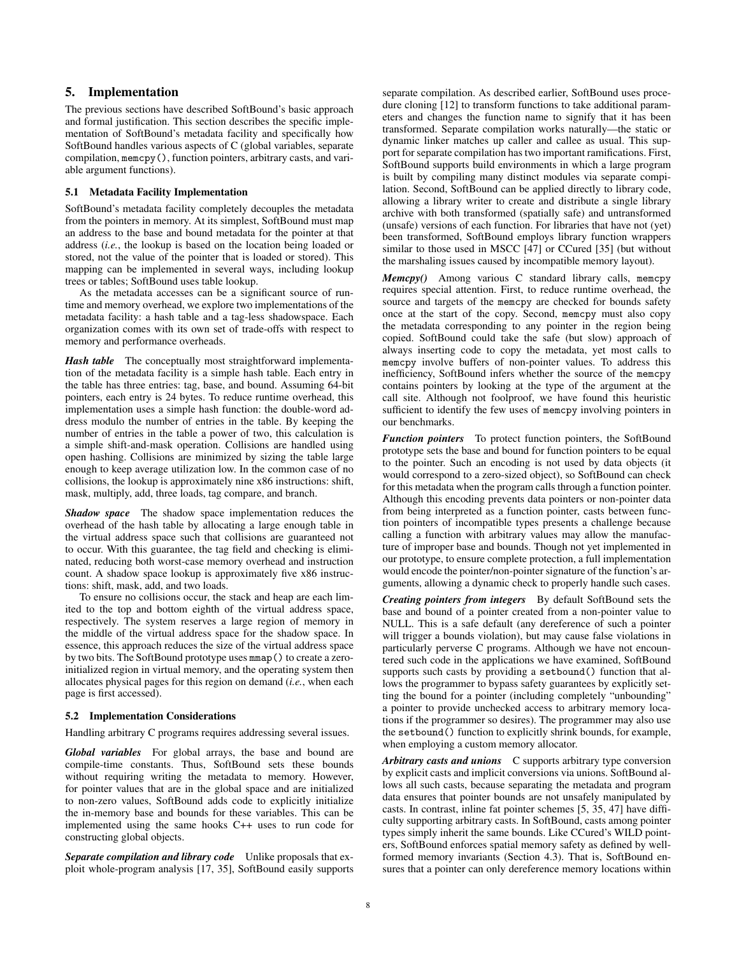# 5. Implementation

The previous sections have described SoftBound's basic approach and formal justification. This section describes the specific implementation of SoftBound's metadata facility and specifically how SoftBound handles various aspects of C (global variables, separate compilation, memcpy(), function pointers, arbitrary casts, and variable argument functions).

# 5.1 Metadata Facility Implementation

SoftBound's metadata facility completely decouples the metadata from the pointers in memory. At its simplest, SoftBound must map an address to the base and bound metadata for the pointer at that address (*i.e.*, the lookup is based on the location being loaded or stored, not the value of the pointer that is loaded or stored). This mapping can be implemented in several ways, including lookup trees or tables; SoftBound uses table lookup.

As the metadata accesses can be a significant source of runtime and memory overhead, we explore two implementations of the metadata facility: a hash table and a tag-less shadowspace. Each organization comes with its own set of trade-offs with respect to memory and performance overheads.

*Hash table* The conceptually most straightforward implementation of the metadata facility is a simple hash table. Each entry in the table has three entries: tag, base, and bound. Assuming 64-bit pointers, each entry is 24 bytes. To reduce runtime overhead, this implementation uses a simple hash function: the double-word address modulo the number of entries in the table. By keeping the number of entries in the table a power of two, this calculation is a simple shift-and-mask operation. Collisions are handled using open hashing. Collisions are minimized by sizing the table large enough to keep average utilization low. In the common case of no collisions, the lookup is approximately nine x86 instructions: shift, mask, multiply, add, three loads, tag compare, and branch.

*Shadow space* The shadow space implementation reduces the overhead of the hash table by allocating a large enough table in the virtual address space such that collisions are guaranteed not to occur. With this guarantee, the tag field and checking is eliminated, reducing both worst-case memory overhead and instruction count. A shadow space lookup is approximately five x86 instructions: shift, mask, add, and two loads.

To ensure no collisions occur, the stack and heap are each limited to the top and bottom eighth of the virtual address space, respectively. The system reserves a large region of memory in the middle of the virtual address space for the shadow space. In essence, this approach reduces the size of the virtual address space by two bits. The SoftBound prototype uses mmap() to create a zeroinitialized region in virtual memory, and the operating system then allocates physical pages for this region on demand (*i.e.*, when each page is first accessed).

# 5.2 Implementation Considerations

Handling arbitrary C programs requires addressing several issues.

*Global variables* For global arrays, the base and bound are compile-time constants. Thus, SoftBound sets these bounds without requiring writing the metadata to memory. However, for pointer values that are in the global space and are initialized to non-zero values, SoftBound adds code to explicitly initialize the in-memory base and bounds for these variables. This can be implemented using the same hooks C++ uses to run code for constructing global objects.

*Separate compilation and library code* Unlike proposals that exploit whole-program analysis [17, 35], SoftBound easily supports

separate compilation. As described earlier, SoftBound uses procedure cloning [12] to transform functions to take additional parameters and changes the function name to signify that it has been transformed. Separate compilation works naturally—the static or dynamic linker matches up caller and callee as usual. This support for separate compilation has two important ramifications. First, SoftBound supports build environments in which a large program is built by compiling many distinct modules via separate compilation. Second, SoftBound can be applied directly to library code, allowing a library writer to create and distribute a single library archive with both transformed (spatially safe) and untransformed (unsafe) versions of each function. For libraries that have not (yet) been transformed, SoftBound employs library function wrappers similar to those used in MSCC [47] or CCured [35] (but without the marshaling issues caused by incompatible memory layout).

*Memcpy()* Among various C standard library calls, memcpy requires special attention. First, to reduce runtime overhead, the source and targets of the memcpy are checked for bounds safety once at the start of the copy. Second, memcpy must also copy the metadata corresponding to any pointer in the region being copied. SoftBound could take the safe (but slow) approach of always inserting code to copy the metadata, yet most calls to memcpy involve buffers of non-pointer values. To address this inefficiency, SoftBound infers whether the source of the memcpy contains pointers by looking at the type of the argument at the call site. Although not foolproof, we have found this heuristic sufficient to identify the few uses of memcpy involving pointers in our benchmarks.

*Function pointers* To protect function pointers, the SoftBound prototype sets the base and bound for function pointers to be equal to the pointer. Such an encoding is not used by data objects (it would correspond to a zero-sized object), so SoftBound can check for this metadata when the program calls through a function pointer. Although this encoding prevents data pointers or non-pointer data from being interpreted as a function pointer, casts between function pointers of incompatible types presents a challenge because calling a function with arbitrary values may allow the manufacture of improper base and bounds. Though not yet implemented in our prototype, to ensure complete protection, a full implementation would encode the pointer/non-pointer signature of the function's arguments, allowing a dynamic check to properly handle such cases.

*Creating pointers from integers* By default SoftBound sets the base and bound of a pointer created from a non-pointer value to NULL. This is a safe default (any dereference of such a pointer will trigger a bounds violation), but may cause false violations in particularly perverse C programs. Although we have not encountered such code in the applications we have examined, SoftBound supports such casts by providing a setbound() function that allows the programmer to bypass safety guarantees by explicitly setting the bound for a pointer (including completely "unbounding" a pointer to provide unchecked access to arbitrary memory locations if the programmer so desires). The programmer may also use the setbound() function to explicitly shrink bounds, for example, when employing a custom memory allocator.

*Arbitrary casts and unions* C supports arbitrary type conversion by explicit casts and implicit conversions via unions. SoftBound allows all such casts, because separating the metadata and program data ensures that pointer bounds are not unsafely manipulated by casts. In contrast, inline fat pointer schemes [5, 35, 47] have difficulty supporting arbitrary casts. In SoftBound, casts among pointer types simply inherit the same bounds. Like CCured's WILD pointers, SoftBound enforces spatial memory safety as defined by wellformed memory invariants (Section 4.3). That is, SoftBound ensures that a pointer can only dereference memory locations within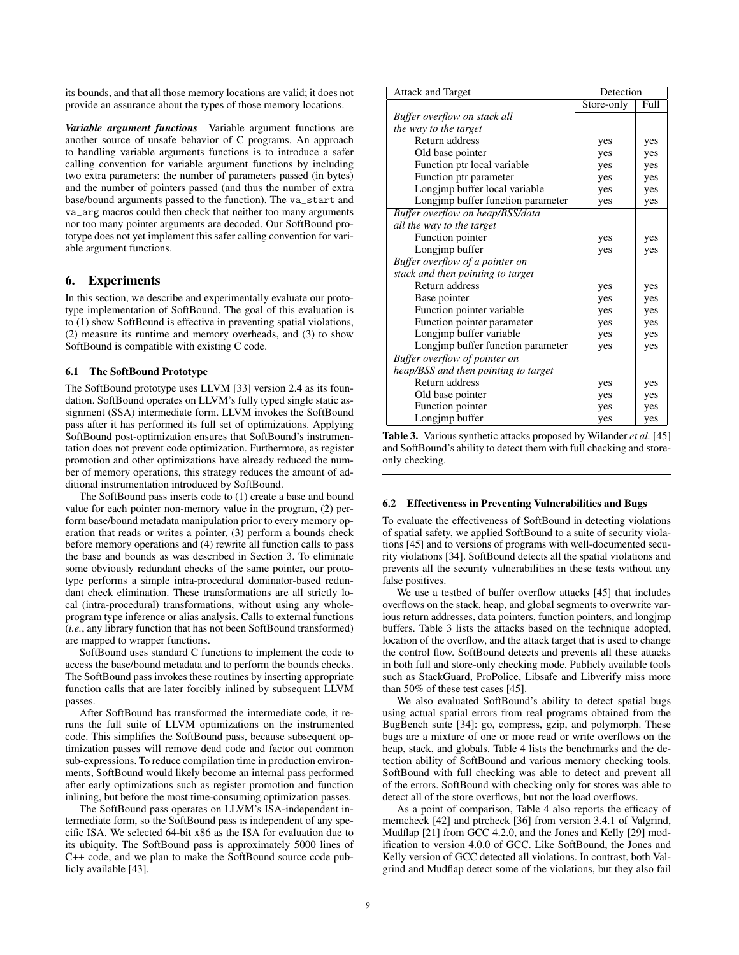its bounds, and that all those memory locations are valid; it does not provide an assurance about the types of those memory locations.

*Variable argument functions* Variable argument functions are another source of unsafe behavior of C programs. An approach to handling variable arguments functions is to introduce a safer calling convention for variable argument functions by including two extra parameters: the number of parameters passed (in bytes) and the number of pointers passed (and thus the number of extra base/bound arguments passed to the function). The va\_start and va\_arg macros could then check that neither too many arguments nor too many pointer arguments are decoded. Our SoftBound prototype does not yet implement this safer calling convention for variable argument functions.

# 6. Experiments

In this section, we describe and experimentally evaluate our prototype implementation of SoftBound. The goal of this evaluation is to (1) show SoftBound is effective in preventing spatial violations, (2) measure its runtime and memory overheads, and (3) to show SoftBound is compatible with existing C code.

#### 6.1 The SoftBound Prototype

The SoftBound prototype uses LLVM [33] version 2.4 as its foundation. SoftBound operates on LLVM's fully typed single static assignment (SSA) intermediate form. LLVM invokes the SoftBound pass after it has performed its full set of optimizations. Applying SoftBound post-optimization ensures that SoftBound's instrumentation does not prevent code optimization. Furthermore, as register promotion and other optimizations have already reduced the number of memory operations, this strategy reduces the amount of additional instrumentation introduced by SoftBound.

The SoftBound pass inserts code to (1) create a base and bound value for each pointer non-memory value in the program, (2) perform base/bound metadata manipulation prior to every memory operation that reads or writes a pointer, (3) perform a bounds check before memory operations and (4) rewrite all function calls to pass the base and bounds as was described in Section 3. To eliminate some obviously redundant checks of the same pointer, our prototype performs a simple intra-procedural dominator-based redundant check elimination. These transformations are all strictly local (intra-procedural) transformations, without using any wholeprogram type inference or alias analysis. Calls to external functions (*i.e.*, any library function that has not been SoftBound transformed) are mapped to wrapper functions.

SoftBound uses standard C functions to implement the code to access the base/bound metadata and to perform the bounds checks. The SoftBound pass invokes these routines by inserting appropriate function calls that are later forcibly inlined by subsequent LLVM passes.

After SoftBound has transformed the intermediate code, it reruns the full suite of LLVM optimizations on the instrumented code. This simplifies the SoftBound pass, because subsequent optimization passes will remove dead code and factor out common sub-expressions. To reduce compilation time in production environments, SoftBound would likely become an internal pass performed after early optimizations such as register promotion and function inlining, but before the most time-consuming optimization passes.

The SoftBound pass operates on LLVM's ISA-independent intermediate form, so the SoftBound pass is independent of any specific ISA. We selected 64-bit x86 as the ISA for evaluation due to its ubiquity. The SoftBound pass is approximately 5000 lines of C++ code, and we plan to make the SoftBound source code publicly available [43].

| <b>Attack and Target</b>             | Detection  |      |
|--------------------------------------|------------|------|
|                                      | Store-only | Full |
| Buffer overflow on stack all         |            |      |
| the way to the target                |            |      |
| Return address                       | yes        | yes  |
| Old base pointer                     | yes        | yes  |
| Function ptr local variable          | yes        | yes  |
| Function ptr parameter               | yes        | yes  |
| Longjmp buffer local variable        | yes        | yes  |
| Longjmp buffer function parameter    | yes        | yes  |
| Buffer overflow on heap/BSS/data     |            |      |
| all the way to the target            |            |      |
| Function pointer                     | yes        | yes  |
| Longjmp buffer                       | yes        | yes  |
| Buffer overflow of a pointer on      |            |      |
| stack and then pointing to target    |            |      |
| Return address                       | yes        | yes  |
| Base pointer                         | yes        | yes  |
| Function pointer variable            | yes        | yes  |
| Function pointer parameter           | yes        | yes  |
| Longjmp buffer variable              | yes        | yes  |
| Longjmp buffer function parameter    | yes        | yes  |
| Buffer overflow of pointer on        |            |      |
| heap/BSS and then pointing to target |            |      |
| Return address                       | yes        | yes  |
| Old base pointer                     | yes        | yes  |
| Function pointer                     | yes        | yes  |
| Longjmp buffer                       | yes        | yes  |

Table 3. Various synthetic attacks proposed by Wilander *et al.* [45] and SoftBound's ability to detect them with full checking and storeonly checking.

# 6.2 Effectiveness in Preventing Vulnerabilities and Bugs

To evaluate the effectiveness of SoftBound in detecting violations of spatial safety, we applied SoftBound to a suite of security violations [45] and to versions of programs with well-documented security violations [34]. SoftBound detects all the spatial violations and prevents all the security vulnerabilities in these tests without any false positives.

We use a testbed of buffer overflow attacks [45] that includes overflows on the stack, heap, and global segments to overwrite various return addresses, data pointers, function pointers, and longjmp buffers. Table 3 lists the attacks based on the technique adopted, location of the overflow, and the attack target that is used to change the control flow. SoftBound detects and prevents all these attacks in both full and store-only checking mode. Publicly available tools such as StackGuard, ProPolice, Libsafe and Libverify miss more than 50% of these test cases [45].

We also evaluated SoftBound's ability to detect spatial bugs using actual spatial errors from real programs obtained from the BugBench suite [34]: go, compress, gzip, and polymorph. These bugs are a mixture of one or more read or write overflows on the heap, stack, and globals. Table 4 lists the benchmarks and the detection ability of SoftBound and various memory checking tools. SoftBound with full checking was able to detect and prevent all of the errors. SoftBound with checking only for stores was able to detect all of the store overflows, but not the load overflows.

As a point of comparison, Table 4 also reports the efficacy of memcheck [42] and ptrcheck [36] from version 3.4.1 of Valgrind, Mudflap [21] from GCC 4.2.0, and the Jones and Kelly [29] modification to version 4.0.0 of GCC. Like SoftBound, the Jones and Kelly version of GCC detected all violations. In contrast, both Valgrind and Mudflap detect some of the violations, but they also fail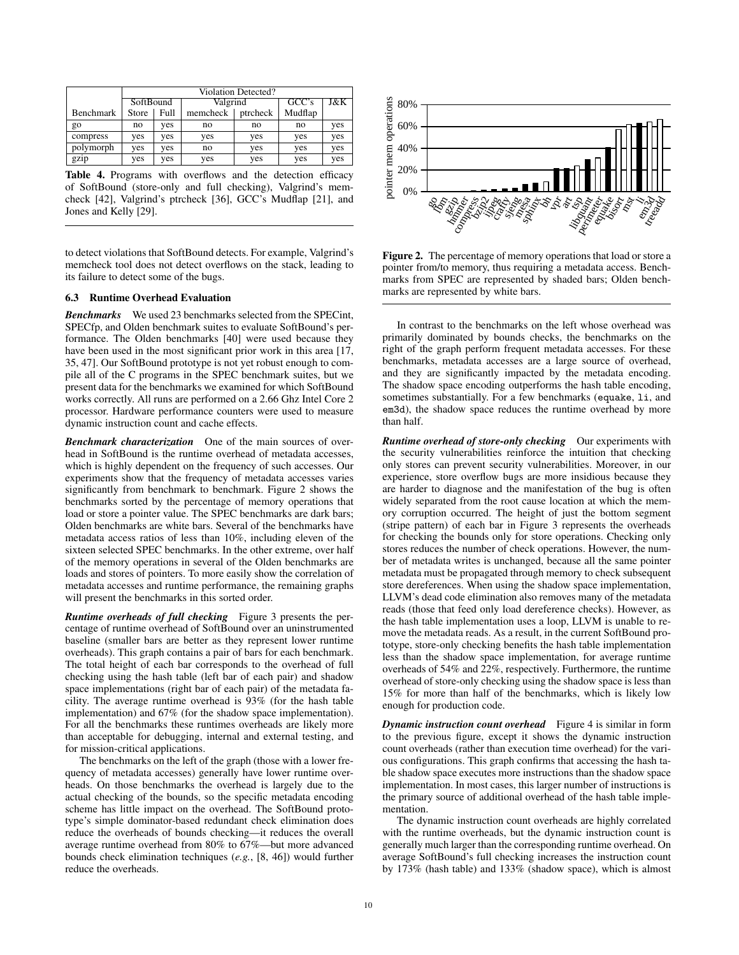|           | Violation Detected? |      |          |          |         |     |
|-----------|---------------------|------|----------|----------|---------|-----|
|           | SoftBound           |      | Valgrind |          | GCC's   | J&K |
| Benchmark | Store               | Full | memcheck | ptrcheck | Mudflap |     |
| go        | no                  | yes  | no       | no       | no      | yes |
| compress  | yes                 | yes  | yes      | yes      | yes     | yes |
| polymorph | yes                 | yes  | no       | yes      | yes     | yes |
| gzip      | yes                 | yes  | yes      | yes      | yes     | yes |

Table 4. Programs with overflows and the detection efficacy of SoftBound (store-only and full checking), Valgrind's memcheck [42], Valgrind's ptrcheck [36], GCC's Mudflap [21], and Jones and Kelly [29].

to detect violations that SoftBound detects. For example, Valgrind's memcheck tool does not detect overflows on the stack, leading to its failure to detect some of the bugs.

## 6.3 Runtime Overhead Evaluation

*Benchmarks* We used 23 benchmarks selected from the SPECint, SPECfp, and Olden benchmark suites to evaluate SoftBound's performance. The Olden benchmarks [40] were used because they have been used in the most significant prior work in this area [17, 35, 47]. Our SoftBound prototype is not yet robust enough to compile all of the C programs in the SPEC benchmark suites, but we present data for the benchmarks we examined for which SoftBound works correctly. All runs are performed on a 2.66 Ghz Intel Core 2 processor. Hardware performance counters were used to measure dynamic instruction count and cache effects.

*Benchmark characterization* One of the main sources of overhead in SoftBound is the runtime overhead of metadata accesses, which is highly dependent on the frequency of such accesses. Our experiments show that the frequency of metadata accesses varies significantly from benchmark to benchmark. Figure 2 shows the benchmarks sorted by the percentage of memory operations that load or store a pointer value. The SPEC benchmarks are dark bars; Olden benchmarks are white bars. Several of the benchmarks have metadata access ratios of less than 10%, including eleven of the sixteen selected SPEC benchmarks. In the other extreme, over half of the memory operations in several of the Olden benchmarks are loads and stores of pointers. To more easily show the correlation of metadata accesses and runtime performance, the remaining graphs will present the benchmarks in this sorted order.

*Runtime overheads of full checking* Figure 3 presents the percentage of runtime overhead of SoftBound over an uninstrumented baseline (smaller bars are better as they represent lower runtime overheads). This graph contains a pair of bars for each benchmark. The total height of each bar corresponds to the overhead of full checking using the hash table (left bar of each pair) and shadow space implementations (right bar of each pair) of the metadata facility. The average runtime overhead is 93% (for the hash table implementation) and 67% (for the shadow space implementation). For all the benchmarks these runtimes overheads are likely more than acceptable for debugging, internal and external testing, and for mission-critical applications.

The benchmarks on the left of the graph (those with a lower frequency of metadata accesses) generally have lower runtime overheads. On those benchmarks the overhead is largely due to the actual checking of the bounds, so the specific metadata encoding scheme has little impact on the overhead. The SoftBound prototype's simple dominator-based redundant check elimination does reduce the overheads of bounds checking—it reduces the overall average runtime overhead from 80% to 67%—but more advanced bounds check elimination techniques (*e.g.*, [8, 46]) would further reduce the overheads.



Figure 2. The percentage of memory operations that load or store a pointer from/to memory, thus requiring a metadata access. Benchmarks from SPEC are represented by shaded bars; Olden benchmarks are represented by white bars.

In contrast to the benchmarks on the left whose overhead was primarily dominated by bounds checks, the benchmarks on the right of the graph perform frequent metadata accesses. For these benchmarks, metadata accesses are a large source of overhead, and they are significantly impacted by the metadata encoding. The shadow space encoding outperforms the hash table encoding, sometimes substantially. For a few benchmarks (equake, 1i, and em3d), the shadow space reduces the runtime overhead by more than half.

*Runtime overhead of store-only checking* Our experiments with the security vulnerabilities reinforce the intuition that checking only stores can prevent security vulnerabilities. Moreover, in our experience, store overflow bugs are more insidious because they are harder to diagnose and the manifestation of the bug is often widely separated from the root cause location at which the memory corruption occurred. The height of just the bottom segment (stripe pattern) of each bar in Figure 3 represents the overheads for checking the bounds only for store operations. Checking only stores reduces the number of check operations. However, the number of metadata writes is unchanged, because all the same pointer metadata must be propagated through memory to check subsequent store dereferences. When using the shadow space implementation, LLVM's dead code elimination also removes many of the metadata reads (those that feed only load dereference checks). However, as the hash table implementation uses a loop, LLVM is unable to remove the metadata reads. As a result, in the current SoftBound prototype, store-only checking benefits the hash table implementation less than the shadow space implementation, for average runtime overheads of 54% and 22%, respectively. Furthermore, the runtime overhead of store-only checking using the shadow space is less than 15% for more than half of the benchmarks, which is likely low enough for production code.

*Dynamic instruction count overhead* Figure 4 is similar in form to the previous figure, except it shows the dynamic instruction count overheads (rather than execution time overhead) for the various configurations. This graph confirms that accessing the hash table shadow space executes more instructions than the shadow space implementation. In most cases, this larger number of instructions is the primary source of additional overhead of the hash table implementation.

The dynamic instruction count overheads are highly correlated with the runtime overheads, but the dynamic instruction count is generally much larger than the corresponding runtime overhead. On average SoftBound's full checking increases the instruction count by 173% (hash table) and 133% (shadow space), which is almost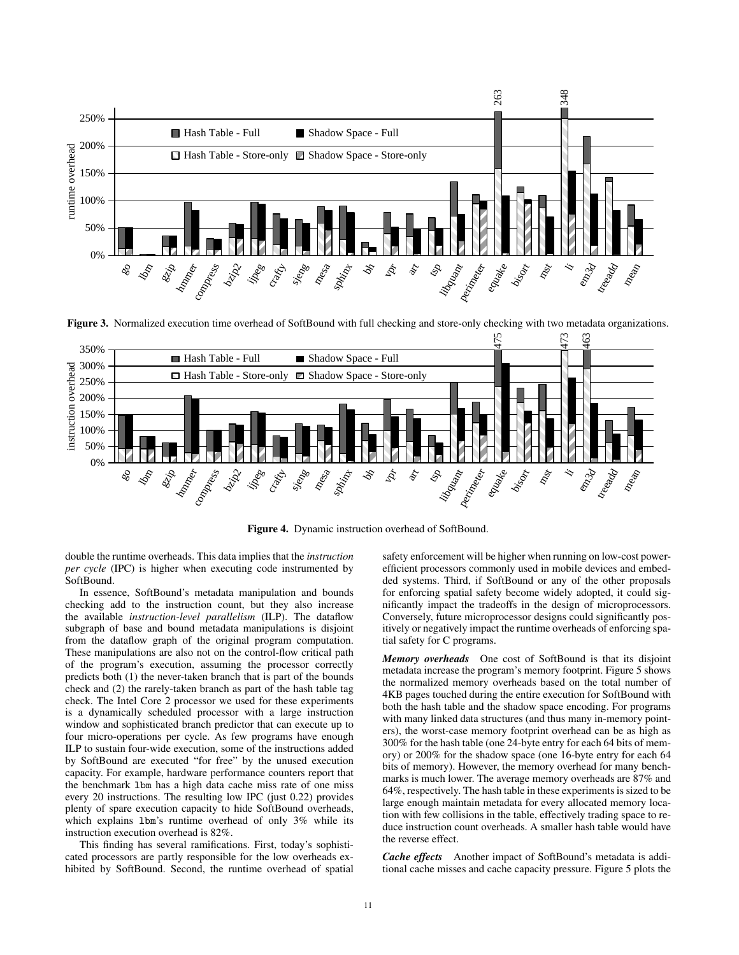

Figure 3. Normalized execution time overhead of SoftBound with full checking and store-only checking with two metadata organizations.



Figure 4. Dynamic instruction overhead of SoftBound.

double the runtime overheads. This data implies that the *instruction per cycle* (IPC) is higher when executing code instrumented by SoftBound.

In essence, SoftBound's metadata manipulation and bounds checking add to the instruction count, but they also increase the available *instruction-level parallelism* (ILP). The dataflow subgraph of base and bound metadata manipulations is disjoint from the dataflow graph of the original program computation. These manipulations are also not on the control-flow critical path of the program's execution, assuming the processor correctly predicts both (1) the never-taken branch that is part of the bounds check and (2) the rarely-taken branch as part of the hash table tag check. The Intel Core 2 processor we used for these experiments is a dynamically scheduled processor with a large instruction window and sophisticated branch predictor that can execute up to four micro-operations per cycle. As few programs have enough ILP to sustain four-wide execution, some of the instructions added by SoftBound are executed "for free" by the unused execution capacity. For example, hardware performance counters report that the benchmark lbm has a high data cache miss rate of one miss every 20 instructions. The resulting low IPC (just 0.22) provides plenty of spare execution capacity to hide SoftBound overheads, which explains lbm's runtime overhead of only 3% while its instruction execution overhead is 82%.

This finding has several ramifications. First, today's sophisticated processors are partly responsible for the low overheads exhibited by SoftBound. Second, the runtime overhead of spatial safety enforcement will be higher when running on low-cost powerefficient processors commonly used in mobile devices and embedded systems. Third, if SoftBound or any of the other proposals for enforcing spatial safety become widely adopted, it could significantly impact the tradeoffs in the design of microprocessors. Conversely, future microprocessor designs could significantly positively or negatively impact the runtime overheads of enforcing spatial safety for C programs.

*Memory overheads* One cost of SoftBound is that its disjoint metadata increase the program's memory footprint. Figure 5 shows the normalized memory overheads based on the total number of 4KB pages touched during the entire execution for SoftBound with both the hash table and the shadow space encoding. For programs with many linked data structures (and thus many in-memory pointers), the worst-case memory footprint overhead can be as high as 300% for the hash table (one 24-byte entry for each 64 bits of memory) or 200% for the shadow space (one 16-byte entry for each 64 bits of memory). However, the memory overhead for many benchmarks is much lower. The average memory overheads are 87% and 64%, respectively. The hash table in these experiments is sized to be large enough maintain metadata for every allocated memory location with few collisions in the table, effectively trading space to reduce instruction count overheads. A smaller hash table would have the reverse effect.

*Cache effects* Another impact of SoftBound's metadata is additional cache misses and cache capacity pressure. Figure 5 plots the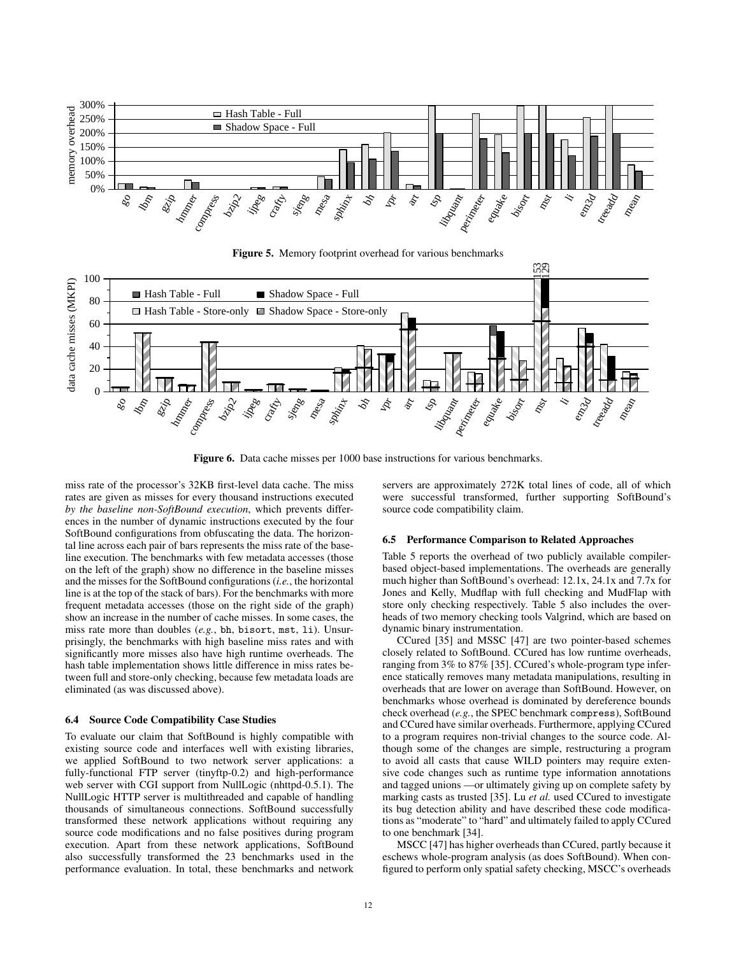

Figure 5. Memory footprint overhead for various benchmarks



Figure 6. Data cache misses per 1000 base instructions for various benchmarks.

miss rate of the processor's 32KB first-level data cache. The miss rates are given as misses for every thousand instructions executed *by the baseline non-SoftBound execution*, which prevents differences in the number of dynamic instructions executed by the four SoftBound configurations from obfuscating the data. The horizontal line across each pair of bars represents the miss rate of the baseline execution. The benchmarks with few metadata accesses (those on the left of the graph) show no difference in the baseline misses and the misses for the SoftBound configurations (*i.e.*, the horizontal line is at the top of the stack of bars). For the benchmarks with more frequent metadata accesses (those on the right side of the graph) show an increase in the number of cache misses. In some cases, the miss rate more than doubles (*e.g.*, bh, bisort, mst, li). Unsurprisingly, the benchmarks with high baseline miss rates and with significantly more misses also have high runtime overheads. The hash table implementation shows little difference in miss rates between full and store-only checking, because few metadata loads are eliminated (as was discussed above).

## 6.4 Source Code Compatibility Case Studies

To evaluate our claim that SoftBound is highly compatible with existing source code and interfaces well with existing libraries, we applied SoftBound to two network server applications: a fully-functional FTP server (tinyftp-0.2) and high-performance web server with CGI support from NullLogic (nhttpd-0.5.1). The NullLogic HTTP server is multithreaded and capable of handling thousands of simultaneous connections. SoftBound successfully transformed these network applications without requiring any source code modifications and no false positives during program execution. Apart from these network applications, SoftBound also successfully transformed the 23 benchmarks used in the performance evaluation. In total, these benchmarks and network

servers are approximately 272K total lines of code, all of which were successful transformed, further supporting SoftBound's source code compatibility claim.

#### 6.5 Performance Comparison to Related Approaches

Table 5 reports the overhead of two publicly available compilerbased object-based implementations. The overheads are generally much higher than SoftBound's overhead: 12.1x, 24.1x and 7.7x for Jones and Kelly, Mudflap with full checking and MudFlap with store only checking respectively. Table 5 also includes the overheads of two memory checking tools Valgrind, which are based on dynamic binary instrumentation.

CCured [35] and MSSC [47] are two pointer-based schemes closely related to SoftBound. CCured has low runtime overheads, ranging from 3% to 87% [35]. CCured's whole-program type inference statically removes many metadata manipulations, resulting in overheads that are lower on average than SoftBound. However, on benchmarks whose overhead is dominated by dereference bounds check overhead (*e.g.*, the SPEC benchmark compress), SoftBound and CCured have similar overheads. Furthermore, applying CCured to a program requires non-trivial changes to the source code. Although some of the changes are simple, restructuring a program to avoid all casts that cause WILD pointers may require extensive code changes such as runtime type information annotations and tagged unions —or ultimately giving up on complete safety by marking casts as trusted [35]. Lu *et al.* used CCured to investigate its bug detection ability and have described these code modifications as "moderate" to "hard" and ultimately failed to apply CCured to one benchmark [34].

MSCC [47] has higher overheads than CCured, partly because it eschews whole-program analysis (as does SoftBound). When configured to perform only spatial safety checking, MSCC's overheads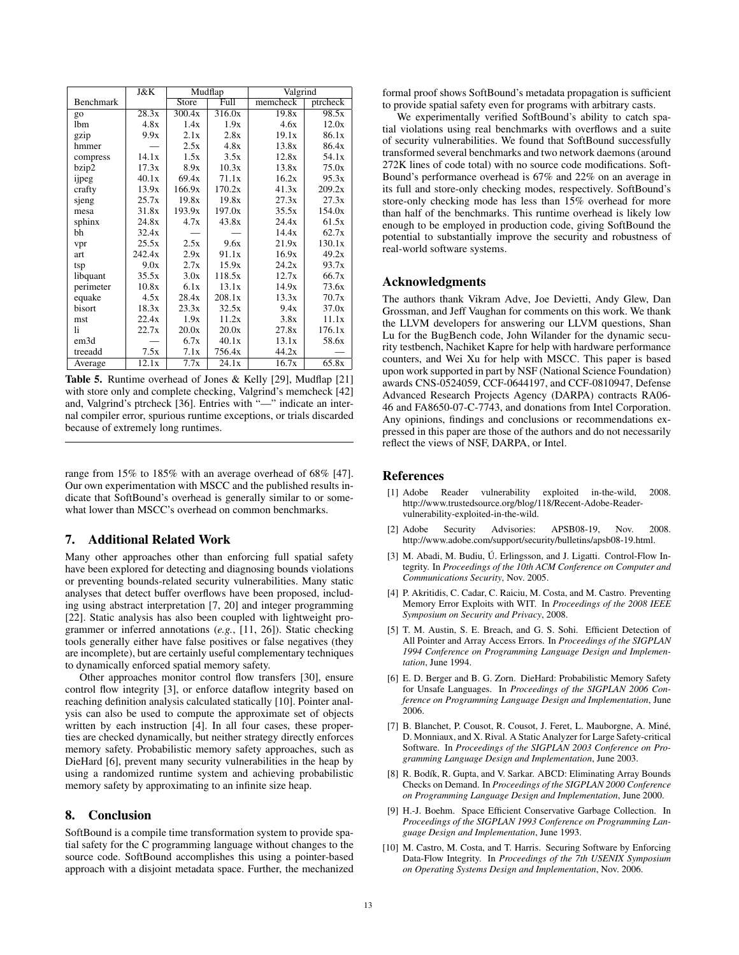|                  | J&K    | Mudflap |        | Valgrind |          |
|------------------|--------|---------|--------|----------|----------|
| <b>Benchmark</b> |        | Store   | Full   | memcheck | ptrcheck |
| go               | 28.3x  | 300.4x  | 316.0x | 19.8x    | 98.5x    |
| <b>lbm</b>       | 4.8x   | 1.4x    | 1.9x   | 4.6x     | 12.0x    |
| gzip             | 9.9x   | 2.1x    | 2.8x   | 19.1x    | 86.1x    |
| hmmer            |        | 2.5x    | 4.8x   | 13.8x    | 86.4x    |
| compress         | 14.1x  | 1.5x    | 3.5x   | 12.8x    | 54.1x    |
| bzip2            | 17.3x  | 8.9x    | 10.3x  | 13.8x    | 75.0x    |
| ijpeg            | 40.1x  | 69.4x   | 71.1x  | 16.2x    | 95.3x    |
| crafty           | 13.9x  | 166.9x  | 170.2x | 41.3x    | 209.2x   |
| sjeng            | 25.7x  | 19.8x   | 19.8x  | 27.3x    | 27.3x    |
| mesa             | 31.8x  | 193.9x  | 197.0x | 35.5x    | 154.0x   |
| sphinx           | 24.8x  | 4.7x    | 43.8x  | 24.4x    | 61.5x    |
| bh               | 32.4x  |         |        | 14.4x    | 62.7x    |
| vpr              | 25.5x  | 2.5x    | 9.6x   | 21.9x    | 130.1x   |
| art              | 242.4x | 2.9x    | 91.1x  | 16.9x    | 49.2x    |
| tsp              | 9.0x   | 2.7x    | 15.9x  | 24.2x    | 93.7x    |
| libquant         | 35.5x  | 3.0x    | 118.5x | 12.7x    | 66.7x    |
| perimeter        | 10.8x  | 6.1x    | 13.1x  | 14.9x    | 73.6x    |
| equake           | 4.5x   | 28.4x   | 208.1x | 13.3x    | 70.7x    |
| bisort           | 18.3x  | 23.3x   | 32.5x  | 9.4x     | 37.0x    |
| mst              | 22.4x  | 1.9x    | 11.2x  | 3.8x     | 11.1x    |
| li               | 22.7x  | 20.0x   | 20.0x  | 27.8x    | 176.1x   |
| em <sub>3d</sub> |        | 6.7x    | 40.1x  | 13.1x    | 58.6x    |
| treeadd          | 7.5x   | 7.1x    | 756.4x | 44.2x    |          |
| Average          | 12.1x  | 7.7x    | 24.1x  | 16.7x    | 65.8x    |

Table 5. Runtime overhead of Jones & Kelly [29], Mudflap [21] with store only and complete checking, Valgrind's memcheck [42] and, Valgrind's ptrcheck [36]. Entries with "—" indicate an internal compiler error, spurious runtime exceptions, or trials discarded because of extremely long runtimes.

range from 15% to 185% with an average overhead of 68% [47]. Our own experimentation with MSCC and the published results indicate that SoftBound's overhead is generally similar to or somewhat lower than MSCC's overhead on common benchmarks.

# 7. Additional Related Work

Many other approaches other than enforcing full spatial safety have been explored for detecting and diagnosing bounds violations or preventing bounds-related security vulnerabilities. Many static analyses that detect buffer overflows have been proposed, including using abstract interpretation [7, 20] and integer programming [22]. Static analysis has also been coupled with lightweight programmer or inferred annotations (*e.g.*, [11, 26]). Static checking tools generally either have false positives or false negatives (they are incomplete), but are certainly useful complementary techniques to dynamically enforced spatial memory safety.

Other approaches monitor control flow transfers [30], ensure control flow integrity [3], or enforce dataflow integrity based on reaching definition analysis calculated statically [10]. Pointer analysis can also be used to compute the approximate set of objects written by each instruction [4]. In all four cases, these properties are checked dynamically, but neither strategy directly enforces memory safety. Probabilistic memory safety approaches, such as DieHard [6], prevent many security vulnerabilities in the heap by using a randomized runtime system and achieving probabilistic memory safety by approximating to an infinite size heap.

# 8. Conclusion

SoftBound is a compile time transformation system to provide spatial safety for the C programming language without changes to the source code. SoftBound accomplishes this using a pointer-based approach with a disjoint metadata space. Further, the mechanized formal proof shows SoftBound's metadata propagation is sufficient to provide spatial safety even for programs with arbitrary casts.

We experimentally verified SoftBound's ability to catch spatial violations using real benchmarks with overflows and a suite of security vulnerabilities. We found that SoftBound successfully transformed several benchmarks and two network daemons (around 272K lines of code total) with no source code modifications. Soft-Bound's performance overhead is 67% and 22% on an average in its full and store-only checking modes, respectively. SoftBound's store-only checking mode has less than 15% overhead for more than half of the benchmarks. This runtime overhead is likely low enough to be employed in production code, giving SoftBound the potential to substantially improve the security and robustness of real-world software systems.

## Acknowledgments

The authors thank Vikram Adve, Joe Devietti, Andy Glew, Dan Grossman, and Jeff Vaughan for comments on this work. We thank the LLVM developers for answering our LLVM questions, Shan Lu for the BugBench code, John Wilander for the dynamic security testbench, Nachiket Kapre for help with hardware performance counters, and Wei Xu for help with MSCC. This paper is based upon work supported in part by NSF (National Science Foundation) awards CNS-0524059, CCF-0644197, and CCF-0810947, Defense Advanced Research Projects Agency (DARPA) contracts RA06- 46 and FA8650-07-C-7743, and donations from Intel Corporation. Any opinions, findings and conclusions or recommendations expressed in this paper are those of the authors and do not necessarily reflect the views of NSF, DARPA, or Intel.

# References

- [1] Adobe Reader vulnerability exploited in-the-wild, 2008. http://www.trustedsource.org/blog/118/Recent-Adobe-Readervulnerability-exploited-in-the-wild.
- [2] Adobe Security Advisories: APSB08-19, Nov. 2008. http://www.adobe.com/support/security/bulletins/apsb08-19.html.
- [3] M. Abadi, M. Budiu, Ú. Erlingsson, and J. Ligatti. Control-Flow Integrity. In *Proceedings of the 10th ACM Conference on Computer and Communications Security*, Nov. 2005.
- [4] P. Akritidis, C. Cadar, C. Raiciu, M. Costa, and M. Castro. Preventing Memory Error Exploits with WIT. In *Proceedings of the 2008 IEEE Symposium on Security and Privacy*, 2008.
- [5] T. M. Austin, S. E. Breach, and G. S. Sohi. Efficient Detection of All Pointer and Array Access Errors. In *Proceedings of the SIGPLAN 1994 Conference on Programming Language Design and Implementation*, June 1994.
- [6] E. D. Berger and B. G. Zorn. DieHard: Probabilistic Memory Safety for Unsafe Languages. In *Proceedings of the SIGPLAN 2006 Conference on Programming Language Design and Implementation*, June 2006.
- [7] B. Blanchet, P. Cousot, R. Cousot, J. Feret, L. Mauborgne, A. Miné, D. Monniaux, and X. Rival. A Static Analyzer for Large Safety-critical Software. In *Proceedings of the SIGPLAN 2003 Conference on Programming Language Design and Implementation*, June 2003.
- [8] R. Bodík, R. Gupta, and V. Sarkar. ABCD: Eliminating Array Bounds Checks on Demand. In *Proceedings of the SIGPLAN 2000 Conference on Programming Language Design and Implementation*, June 2000.
- [9] H.-J. Boehm. Space Efficient Conservative Garbage Collection. In *Proceedings of the SIGPLAN 1993 Conference on Programming Language Design and Implementation*, June 1993.
- [10] M. Castro, M. Costa, and T. Harris. Securing Software by Enforcing Data-Flow Integrity. In *Proceedings of the 7th USENIX Symposium on Operating Systems Design and Implementation*, Nov. 2006.